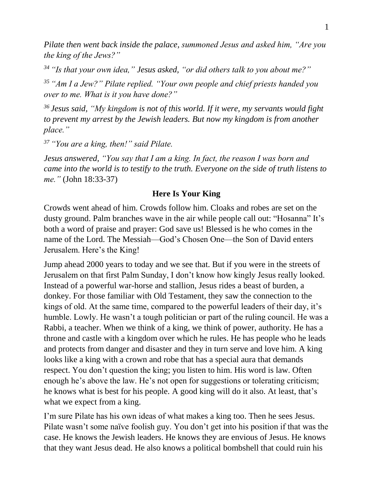*Pilate then went back inside the palace, summoned Jesus and asked him, "Are you the king of the Jews?"*

*<sup>34</sup> "Is that your own idea," Jesus asked, "or did others talk to you about me?"*

*<sup>35</sup> "Am I a Jew?" Pilate replied. "Your own people and chief priests handed you over to me. What is it you have done?"*

*<sup>36</sup> Jesus said, "My kingdom is not of this world. If it were, my servants would fight to prevent my arrest by the Jewish leaders. But now my kingdom is from another place."*

*<sup>37</sup> "You are a king, then!" said Pilate.*

*Jesus answered, "You say that I am a king. In fact, the reason I was born and came into the world is to testify to the truth. Everyone on the side of truth listens to me."* (John 18:33-37)

## **Here Is Your King**

Crowds went ahead of him. Crowds follow him. Cloaks and robes are set on the dusty ground. Palm branches wave in the air while people call out: "Hosanna" It's both a word of praise and prayer: God save us! Blessed is he who comes in the name of the Lord. The Messiah—God's Chosen One—the Son of David enters Jerusalem. Here's the King!

Jump ahead 2000 years to today and we see that. But if you were in the streets of Jerusalem on that first Palm Sunday, I don't know how kingly Jesus really looked. Instead of a powerful war-horse and stallion, Jesus rides a beast of burden, a donkey. For those familiar with Old Testament, they saw the connection to the kings of old. At the same time, compared to the powerful leaders of their day, it's humble. Lowly. He wasn't a tough politician or part of the ruling council. He was a Rabbi, a teacher. When we think of a king, we think of power, authority. He has a throne and castle with a kingdom over which he rules. He has people who he leads and protects from danger and disaster and they in turn serve and love him. A king looks like a king with a crown and robe that has a special aura that demands respect. You don't question the king; you listen to him. His word is law. Often enough he's above the law. He's not open for suggestions or tolerating criticism; he knows what is best for his people. A good king will do it also. At least, that's what we expect from a king.

I'm sure Pilate has his own ideas of what makes a king too. Then he sees Jesus. Pilate wasn't some naïve foolish guy. You don't get into his position if that was the case. He knows the Jewish leaders. He knows they are envious of Jesus. He knows that they want Jesus dead. He also knows a political bombshell that could ruin his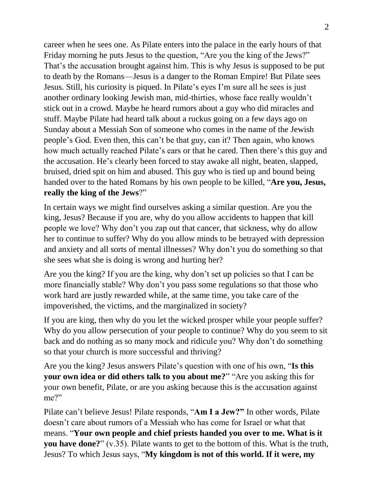career when he sees one. As Pilate enters into the palace in the early hours of that Friday morning he puts Jesus to the question, "Are you the king of the Jews?" That's the accusation brought against him. This is why Jesus is supposed to be put to death by the Romans—Jesus is a danger to the Roman Empire! But Pilate sees Jesus. Still, his curiosity is piqued. In Pilate's eyes I'm sure all he sees is just another ordinary looking Jewish man, mid-thirties, whose face really wouldn't stick out in a crowd. Maybe he heard rumors about a guy who did miracles and stuff. Maybe Pilate had heard talk about a ruckus going on a few days ago on Sunday about a Messiah Son of someone who comes in the name of the Jewish people's God. Even then, this can't be that guy, can it? Then again, who knows how much actually reached Pilate's ears or that he cared. Then there's this guy and the accusation. He's clearly been forced to stay awake all night, beaten, slapped, bruised, dried spit on him and abused. This guy who is tied up and bound being handed over to the hated Romans by his own people to be killed, "**Are you, Jesus, really the king of the Jews**?"

In certain ways we might find ourselves asking a similar question. Are you the king, Jesus? Because if you are, why do you allow accidents to happen that kill people we love? Why don't you zap out that cancer, that sickness, why do allow her to continue to suffer? Why do you allow minds to be betrayed with depression and anxiety and all sorts of mental illnesses? Why don't you do something so that she sees what she is doing is wrong and hurting her?

Are you the king? If you are the king, why don't set up policies so that I can be more financially stable? Why don't you pass some regulations so that those who work hard are justly rewarded while, at the same time, you take care of the impoverished, the victims, and the marginalized in society?

If you are king, then why do you let the wicked prosper while your people suffer? Why do you allow persecution of your people to continue? Why do you seem to sit back and do nothing as so many mock and ridicule you? Why don't do something so that your church is more successful and thriving?

Are you the king? Jesus answers Pilate's question with one of his own, "**Is this your own idea or did others talk to you about me?**" "Are you asking this for your own benefit, Pilate, or are you asking because this is the accusation against me?"

Pilate can't believe Jesus! Pilate responds, "**Am I a Jew?"** In other words, Pilate doesn't care about rumors of a Messiah who has come for Israel or what that means. "**Your own people and chief priests handed you over to me. What is it you have done?**" (v.35). Pilate wants to get to the bottom of this. What is the truth, Jesus? To which Jesus says, "**My kingdom is not of this world. If it were, my**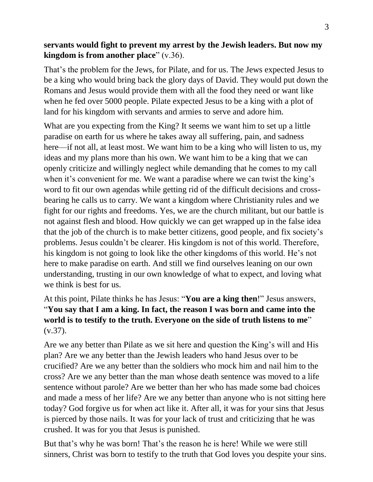## **servants would fight to prevent my arrest by the Jewish leaders. But now my kingdom is from another place**" (v.36).

That's the problem for the Jews, for Pilate, and for us. The Jews expected Jesus to be a king who would bring back the glory days of David. They would put down the Romans and Jesus would provide them with all the food they need or want like when he fed over 5000 people. Pilate expected Jesus to be a king with a plot of land for his kingdom with servants and armies to serve and adore him.

What are you expecting from the King? It seems we want him to set up a little paradise on earth for us where he takes away all suffering, pain, and sadness here—if not all, at least most. We want him to be a king who will listen to us, my ideas and my plans more than his own. We want him to be a king that we can openly criticize and willingly neglect while demanding that he comes to my call when it's convenient for me. We want a paradise where we can twist the king's word to fit our own agendas while getting rid of the difficult decisions and crossbearing he calls us to carry. We want a kingdom where Christianity rules and we fight for our rights and freedoms. Yes, we are the church militant, but our battle is not against flesh and blood. How quickly we can get wrapped up in the false idea that the job of the church is to make better citizens, good people, and fix society's problems. Jesus couldn't be clearer. His kingdom is not of this world. Therefore, his kingdom is not going to look like the other kingdoms of this world. He's not here to make paradise on earth. And still we find ourselves leaning on our own understanding, trusting in our own knowledge of what to expect, and loving what we think is best for us.

## At this point, Pilate thinks he has Jesus: "**You are a king then**!" Jesus answers, "**You say that I am a king. In fact, the reason I was born and came into the world is to testify to the truth. Everyone on the side of truth listens to me**" (v.37).

Are we any better than Pilate as we sit here and question the King's will and His plan? Are we any better than the Jewish leaders who hand Jesus over to be crucified? Are we any better than the soldiers who mock him and nail him to the cross? Are we any better than the man whose death sentence was moved to a life sentence without parole? Are we better than her who has made some bad choices and made a mess of her life? Are we any better than anyone who is not sitting here today? God forgive us for when act like it. After all, it was for your sins that Jesus is pierced by those nails. It was for your lack of trust and criticizing that he was crushed. It was for you that Jesus is punished.

But that's why he was born! That's the reason he is here! While we were still sinners, Christ was born to testify to the truth that God loves you despite your sins.